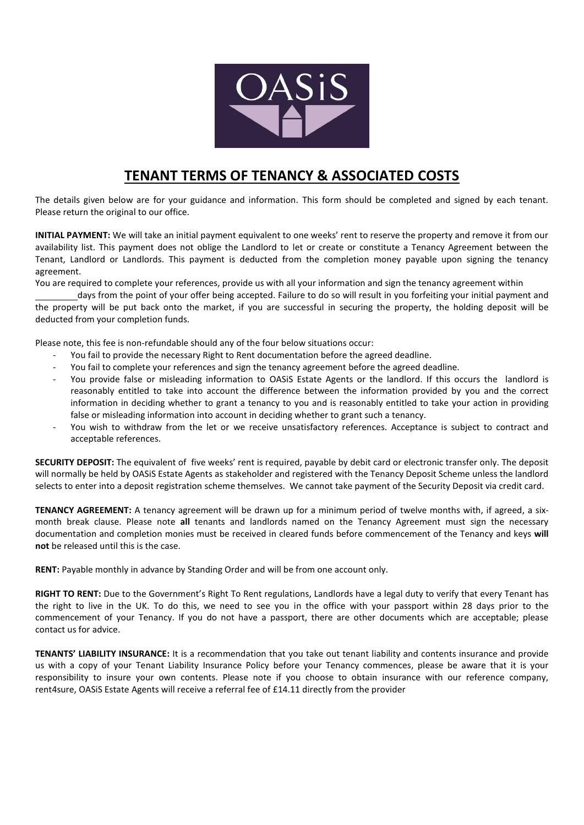

## **TENANT TERMS OF TENANCY & ASSOCIATED COSTS**

The details given below are for your guidance and information. This form should be completed and signed by each tenant. Please return the original to our office.

**INITIAL PAYMENT:** We will take an initial payment equivalent to one weeks' rent to reserve the property and remove it from our availability list. This payment does not oblige the Landlord to let or create or constitute a Tenancy Agreement between the Tenant, Landlord or Landlords. This payment is deducted from the completion money payable upon signing the tenancy agreement.

You are required to complete your references, provide us with all your information and sign the tenancy agreement within

 days from the point of your offer being accepted. Failure to do so will result in you forfeiting your initial payment and the property will be put back onto the market, if you are successful in securing the property, the holding deposit will be deducted from your completion funds.

Please note, this fee is non-refundable should any of the four below situations occur:

- You fail to provide the necessary Right to Rent documentation before the agreed deadline.
- You fail to complete your references and sign the tenancy agreement before the agreed deadline.
- You provide false or misleading information to OASiS Estate Agents or the landlord. If this occurs the landlord is reasonably entitled to take into account the difference between the information provided by you and the correct information in deciding whether to grant a tenancy to you and is reasonably entitled to take your action in providing false or misleading information into account in deciding whether to grant such a tenancy.
- You wish to withdraw from the let or we receive unsatisfactory references. Acceptance is subject to contract and acceptable references.

**SECURITY DEPOSIT:** The equivalent of five weeks' rent is required, payable by debit card or electronic transfer only. The deposit will normally be held by OASiS Estate Agents as stakeholder and registered with the Tenancy Deposit Scheme unless the landlord selects to enter into a deposit registration scheme themselves. We cannot take payment of the Security Deposit via credit card.

**TENANCY AGREEMENT:** A tenancy agreement will be drawn up for a minimum period of twelve months with, if agreed, a sixmonth break clause. Please note **all** tenants and landlords named on the Tenancy Agreement must sign the necessary documentation and completion monies must be received in cleared funds before commencement of the Tenancy and keys **will not** be released until this is the case.

**RENT:** Payable monthly in advance by Standing Order and will be from one account only.

**RIGHT TO RENT:** Due to the Government's Right To Rent regulations, Landlords have a legal duty to verify that every Tenant has the right to live in the UK. To do this, we need to see you in the office with your passport within 28 days prior to the commencement of your Tenancy. If you do not have a passport, there are other documents which are acceptable; please contact us for advice.

**TENANTS' LIABILITY INSURANCE:** It is a recommendation that you take out tenant liability and contents insurance and provide us with a copy of your Tenant Liability Insurance Policy before your Tenancy commences, please be aware that it is your responsibility to insure your own contents. Please note if you choose to obtain insurance with our reference company, rent4sure, OASiS Estate Agents will receive a referral fee of £14.11 directly from the provider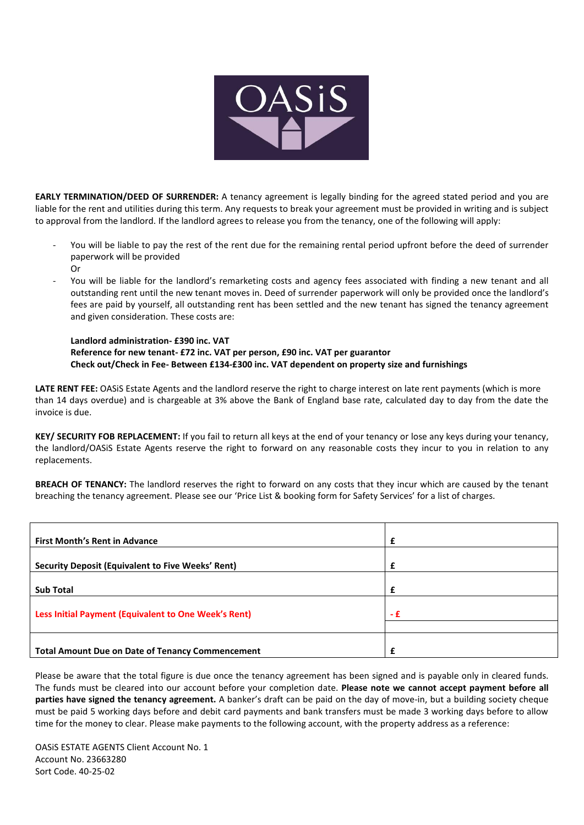

**EARLY TERMINATION/DEED OF SURRENDER:** A tenancy agreement is legally binding for the agreed stated period and you are liable for the rent and utilities during this term. Any requests to break your agreement must be provided in writing and is subject to approval from the landlord. If the landlord agrees to release you from the tenancy, one of the following will apply:

- You will be liable to pay the rest of the rent due for the remaining rental period upfront before the deed of surrender paperwork will be provided Or
- You will be liable for the landlord's remarketing costs and agency fees associated with finding a new tenant and all outstanding rent until the new tenant moves in. Deed of surrender paperwork will only be provided once the landlord's fees are paid by yourself, all outstanding rent has been settled and the new tenant has signed the tenancy agreement and given consideration. These costs are:

**Landlord administration- £390 inc. VAT Reference for new tenant- £72 inc. VAT per person, £90 inc. VAT per guarantor Check out/Check in Fee- Between £134-£300 inc. VAT dependent on property size and furnishings** 

**LATE RENT FEE:** OASiS Estate Agents and the landlord reserve the right to charge interest on late rent payments (which is more than 14 days overdue) and is chargeable at 3% above the Bank of England base rate, calculated day to day from the date the invoice is due.

**KEY/ SECURITY FOB REPLACEMENT:** If you fail to return all keys at the end of your tenancy or lose any keys during your tenancy, the landlord/OASiS Estate Agents reserve the right to forward on any reasonable costs they incur to you in relation to any replacements.

**BREACH OF TENANCY:** The landlord reserves the right to forward on any costs that they incur which are caused by the tenant breaching the tenancy agreement. Please see our 'Price List & booking form for Safety Services' for a list of charges.

| <b>First Month's Rent in Advance</b>                     |     |
|----------------------------------------------------------|-----|
| <b>Security Deposit (Equivalent to Five Weeks' Rent)</b> |     |
| <b>Sub Total</b>                                         |     |
| Less Initial Payment (Equivalent to One Week's Rent)     | - f |
|                                                          |     |
| <b>Total Amount Due on Date of Tenancy Commencement</b>  |     |

Please be aware that the total figure is due once the tenancy agreement has been signed and is payable only in cleared funds. The funds must be cleared into our account before your completion date. **Please note we cannot accept payment before all parties have signed the tenancy agreement.** A banker's draft can be paid on the day of move-in, but a building society cheque must be paid 5 working days before and debit card payments and bank transfers must be made 3 working days before to allow time for the money to clear. Please make payments to the following account, with the property address as a reference:

OASiS ESTATE AGENTS Client Account No. 1 Account No. 23663280 Sort Code. 40-25-02